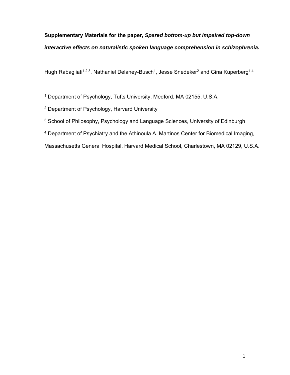# **Supplementary Materials for the paper,** *Spared bottom-up but impaired top-down interactive effects on naturalistic spoken language comprehension in schizophrenia.*

Hugh Rabagliati<sup>1,2,3</sup>, Nathaniel Delaney-Busch<sup>1</sup>, Jesse Snedeker<sup>2</sup> and Gina Kuperberg<sup>1,4</sup>

1 Department of Psychology, Tufts University, Medford, MA 02155, U.S.A.

2 Department of Psychology, Harvard University

- <sup>3</sup> School of Philosophy, Psychology and Language Sciences, University of Edinburgh
- 4 Department of Psychiatry and the Athinoula A. Martinos Center for Biomedical Imaging,

Massachusetts General Hospital, Harvard Medical School, Charlestown, MA 02129, U.S.A.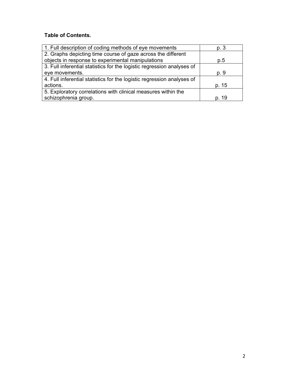## **Table of Contents.**

| 1. Full description of coding methods of eye movements                 | p. 3  |
|------------------------------------------------------------------------|-------|
| 2. Graphs depicting time course of gaze across the different           |       |
| objects in response to experimental manipulations                      | p.5   |
| 3. Full inferential statistics for the logistic regression analyses of |       |
| eye movements.                                                         | p. 9  |
| 4. Full inferential statistics for the logistic regression analyses of |       |
| actions.                                                               | p. 15 |
| 5. Exploratory correlations with clinical measures within the          |       |
| schizophrenia group.                                                   | p. 19 |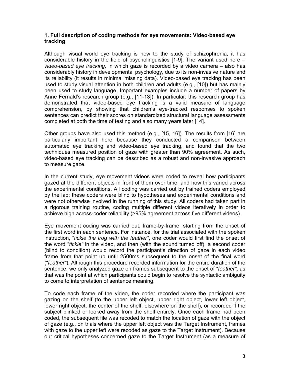### **1. Full description of coding methods for eye movements: Video-based eye tracking**

Although visual world eye tracking is new to the study of schizophrenia, it has considerable history in the field of psycholinguistics [1-9]. The variant used here – *video-based eye tracking,* in which gaze is recorded by a video camera – also has considerably history in developmental psychology, due to its non-invasive nature and its reliability (it results in minimal missing data). Video-based eye tracking has been used to study visual attention in both children and adults (e.g., [10]) but has mainly been used to study language. Important examples include a number of papers by Anne Fernald's research group (e.g., [11-13]). In particular, this research group has demonstrated that video-based eye tracking is a valid measure of language comprehension, by showing that children's eye-tracked responses to spoken sentences can predict their scores on standardized structural language assessments completed at both the time of testing and also many years later [14].

Other groups have also used this method (e.g., [15, 16]). The results from [16] are particularly important here because they conducted a comparison between automated eye tracking and video-based eye tracking, and found that the two techniques measured position of gaze with greater than 90% agreement. As such, video-based eye tracking can be described as a robust and non-invasive approach to measure gaze.

In the current study, eye movement videos were coded to reveal how participants gazed at the different objects in front of them over time, and how this varied across the experimental conditions. All coding was carried out by trained coders employed by the lab; these coders were blind to hypotheses and experimental conditions and were not otherwise involved in the running of this study. All coders had taken part in a rigorous training routine, coding multiple different videos iteratively in order to achieve high across-coder reliability (>95% agreement across five different videos).

Eye movement coding was carried out, frame-by-frame, starting from the onset of the first word in each sentence. For instance, for the trial associated with the spoken instruction, "*tickle the frog with the feather"*, one coder would first find the onset of the word "*tickle"* in the video, and then (with the sound turned off), a second coder (blind to condition) would record the participant's direction of gaze in each video frame from that point up until 2500ms subsequent to the onset of the final word ("*feather"*). Although this procedure recorded information for the entire duration of the sentence, we only analyzed gaze on frames subsequent to the onset of "*feather"*, as that was the point at which participants could begin to resolve the syntactic ambiguity to come to interpretation of sentence meaning.

To code each frame of the video, the coder recorded where the participant was gazing on the shelf (to the upper left object, upper right object, lower left object, lower right object, the center of the shelf, elsewhere on the shelf), or recorded if the subject blinked or looked away from the shelf entirely. Once each frame had been coded, the subsequent file was recoded to match the location of gaze with the object of gaze (e.g., on trials where the upper left object was the Target Instrument, frames with gaze to the upper left were recoded as gaze to the Target Instrument). Because our critical hypotheses concerned gaze to the Target Instrument (as a measure of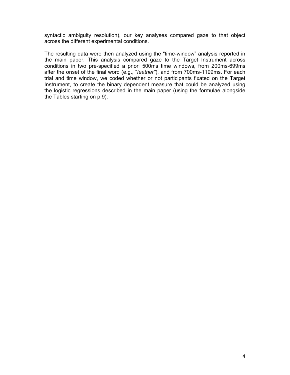syntactic ambiguity resolution), our key analyses compared gaze to that object across the different experimental conditions.

The resulting data were then analyzed using the "time-window" analysis reported in the main paper. This analysis compared gaze to the Target Instrument across conditions in two pre-specified a priori 500ms time windows, from 200ms-699ms after the onset of the final word (e.g., "*feather"*), and from 700ms-1199ms. For each trial and time window, we coded whether or not participants fixated on the Target Instrument, to create the binary dependent measure that could be analyzed using the logistic regressions described in the main paper (using the formulae alongside the Tables starting on p.9).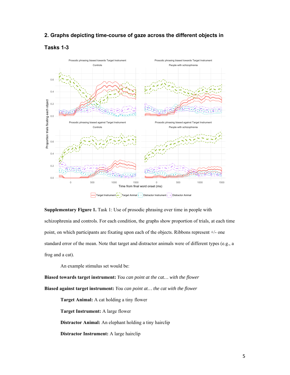#### **2. Graphs depicting time-course of gaze across the different objects in**





**Supplementary Figure 1.** Task 1: Use of prosodic phrasing over time in people with schizophrenia and controls. For each condition, the graphs show proportion of trials, at each time point, on which participants are fixating upon each of the objects. Ribbons represent +/- one standard error of the mean. Note that target and distractor animals were of different types (e.g., a frog and a cat).

An example stimulus set would be:

**Biased towards target instrument:** *You can point at the cat… with the flower*  **Biased against target instrument:** *You can point at… the cat with the flower* 

**Target Animal:** A cat holding a tiny flower

**Target Instrument:** A large flower

**Distractor Animal:** An elephant holding a tiny hairclip

**Distractor Instrument:** A large hairclip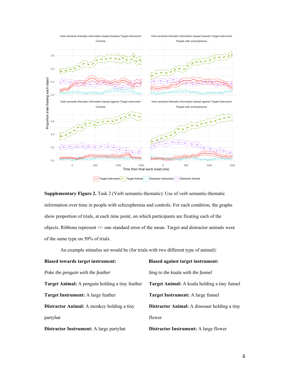

**Supplementary Figure 2.** Task 2 (Verb semantic-thematic): Use of verb semantic-thematic information over time in people with schizophrenia and controls. For each condition, the graphs show proportion of trials, at each time point, on which participants are fixating each of the objects. Ribbons represent +/- one standard error of the mean. Target and distractor animals were of the same type on 50% of trials.

An example stimulus set would be (for trials with two different type of animal):

| Biased towards target instrument:                      | <b>Biased against target instrument:</b>            |
|--------------------------------------------------------|-----------------------------------------------------|
| Poke the penguin with the feather                      | Sing to the koala with the funnel                   |
| <b>Target Animal:</b> A penguin holding a tiny feather | <b>Target Animal:</b> A koala holding a tiny funnel |
| <b>Target Instrument:</b> A large feather              | <b>Target Instrument:</b> A large funnel            |
| <b>Distractor Animal:</b> A monkey holding a tiny      | <b>Distractor Animal:</b> A dinosaur holding a tiny |
| partyhat                                               | flower                                              |
| Distractor Instrument: A large partyhat                | Distractor Instrument: A large flower               |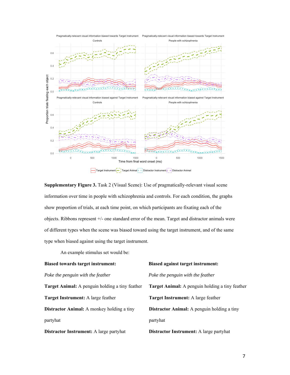

**Supplementary Figure 3.** Task 2 (Visual Scene): Use of pragmatically-relevant visual scene information over time in people with schizophrenia and controls. For each condition, the graphs show proportion of trials, at each time point, on which participants are fixating each of the objects. Ribbons represent +/- one standard error of the mean. Target and distractor animals were of different types when the scene was biased toward using the target instrument, and of the same type when biased against using the target instrument.

An example stimulus set would be:

| <b>Biased towards target instrument:</b>               | <b>Biased against target instrument:</b>               |
|--------------------------------------------------------|--------------------------------------------------------|
| Poke the penguin with the feather                      | Poke the penguin with the feather                      |
| <b>Target Animal:</b> A penguin holding a tiny feather | <b>Target Animal:</b> A penguin holding a tiny feather |
| <b>Target Instrument:</b> A large feather              | <b>Target Instrument:</b> A large feather              |
| <b>Distractor Animal:</b> A monkey holding a tiny      | <b>Distractor Animal:</b> A penguin holding a tiny     |
| partyhat                                               | partyhat                                               |
| <b>Distractor Instrument:</b> A large partyhat         | <b>Distractor Instrument:</b> A large partyhat         |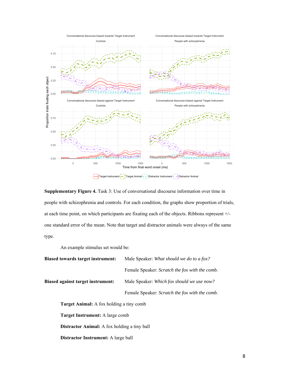

**Supplementary Figure 4.** Task 3: Use of conversational discourse information over time in people with schizophrenia and controls. For each condition, the graphs show proportion of trials, at each time point, on which participants are fixating each of the objects. Ribbons represent +/ one standard error of the mean. Note that target and distractor animals were always of the same type.

An example stimulus set would be:

| <b>Biased towards target instrument:</b>            | Male Speaker: What should we do to a fox?      |
|-----------------------------------------------------|------------------------------------------------|
|                                                     | Female Speaker: Scratch the fox with the comb. |
| <b>Biased against target instrument:</b>            | Male Speaker: Which fox should we use now?     |
|                                                     | Female Speaker: Scratch the fox with the comb. |
| <b>Target Animal:</b> A fox holding a tiny comb     |                                                |
| <b>Target Instrument:</b> A large comb              |                                                |
| <b>Distractor Animal:</b> A fox holding a tiny ball |                                                |
| <b>Distractor Instrument:</b> A large ball          |                                                |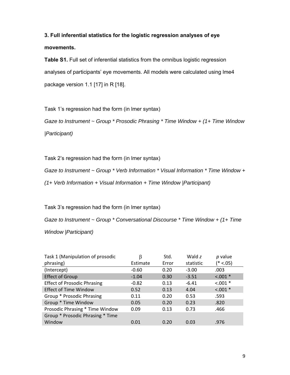# **3. Full inferential statistics for the logistic regression analyses of eye movements.**

**Table S1.** Full set of inferential statistics from the omnibus logistic regression analyses of participants' eye movements. All models were calculated using lme4 package version 1.1 [17] in R [18].

Task 1's regression had the form (in lmer syntax)

*Gaze to Instrument ~ Group \* Prosodic Phrasing \* Time Window + (1+ Time Window |Participant)* 

Task 2's regression had the form (in lmer syntax)

*Gaze to Instrument ~ Group \* Verb Information \* Visual Information \* Time Window +* 

*(1+ Verb Information + Visual Information + Time Window |Participant)* 

Task 3's regression had the form (in lmer syntax)

*Gaze to Instrument ~ Group \* Conversational Discourse \* Time Window + (1+ Time Window |Participant)* 

| Task 1 (Manipulation of prosodic   | β        | Std.  | Wald z    | $p$ value   |
|------------------------------------|----------|-------|-----------|-------------|
| phrasing)                          | Estimate | Error | statistic | $(* < .05)$ |
| (Intercept)                        | $-0.60$  | 0.20  | $-3.00$   | .003        |
| <b>Effect of Group</b>             | $-1.04$  | 0.30  | $-3.51$   | $< 0.001$ * |
| <b>Effect of Prosodic Phrasing</b> | $-0.82$  | 0.13  | $-6.41$   | $< .001$ *  |
| <b>Effect of Time Window</b>       | 0.52     | 0.13  | 4.04      | $< .001$ *  |
| Group * Prosodic Phrasing          | 0.11     | 0.20  | 0.53      | .593        |
| Group * Time Window                | 0.05     | 0.20  | 0.23      | .820        |
| Prosodic Phrasing * Time Window    | 0.09     | 0.13  | 0.73      | .466        |
| Group * Prosodic Phrasing * Time   |          |       |           |             |
| Window                             | 0.01     | 0.20  | 0.03      | .976        |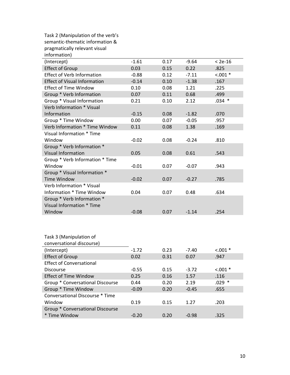| Task 2 (Manipulation of the verb's  |         |      |         |            |
|-------------------------------------|---------|------|---------|------------|
| semantic-thematic information &     |         |      |         |            |
| pragmatically relevant visual       |         |      |         |            |
| information)                        |         |      |         |            |
| (Intercept)                         | $-1.61$ | 0.17 | $-9.64$ | $< 2e-16$  |
| <b>Effect of Group</b>              | 0.03    | 0.15 | 0.22    | .825       |
| <b>Effect of Verb Information</b>   | $-0.88$ | 0.12 | $-7.11$ | $< .001 *$ |
| <b>Effect of Visual Information</b> | $-0.14$ | 0.10 | $-1.38$ | .167       |
| <b>Effect of Time Window</b>        | 0.10    | 0.08 | 1.21    | .225       |
| Group * Verb Information            | 0.07    | 0.11 | 0.68    | .499       |
| Group * Visual Information          | 0.21    | 0.10 | 2.12    | $.034$ *   |
| Verb Information * Visual           |         |      |         |            |
| Information                         | $-0.15$ | 0.08 | $-1.82$ | .070       |
| Group * Time Window                 | 0.00    | 0.07 | $-0.05$ | .957       |
| Verb Information * Time Window      | 0.11    | 0.08 | 1.38    | .169       |
| Visual Information * Time           |         |      |         |            |
| Window                              | $-0.02$ | 0.08 | $-0.24$ | .810       |
| Group * Verb Information *          |         |      |         |            |
| <b>Visual Information</b>           | 0.05    | 0.08 | 0.61    | .543       |
| Group * Verb Information * Time     |         |      |         |            |
| Window                              | $-0.01$ | 0.07 | $-0.07$ | .943       |
| Group * Visual Information *        |         |      |         |            |
| <b>Time Window</b>                  | $-0.02$ | 0.07 | $-0.27$ | .785       |
| Verb Information * Visual           |         |      |         |            |
| Information * Time Window           | 0.04    | 0.07 | 0.48    | .634       |
| Group * Verb Information *          |         |      |         |            |
| Visual Information * Time           |         |      |         |            |
| Window                              | $-0.08$ | 0.07 | $-1.14$ | .254       |
|                                     |         |      |         |            |
|                                     |         |      |         |            |
|                                     |         |      |         |            |
| Task 3 (Manipulation of             |         |      |         |            |
| conversational discourse)           |         |      |         |            |
| (Intercept)                         | $-1.72$ | 0.23 | $-7.40$ | $< .001 *$ |
| <b>Effect of Group</b>              | 0.02    | 0.31 | 0.07    | .947       |
| <b>Effect of Conversational</b>     |         |      |         |            |
| <b>Discourse</b>                    | $-0.55$ | 0.15 | $-3.72$ | $< .001 *$ |
| <b>Effect of Time Window</b>        | 0.25    | 0.16 | 1.57    | .116       |
| Group * Conversational Discourse    | 0.44    | 0.20 | 2.19    | $.029$ *   |
| Group * Time Window                 | $-0.09$ | 0.20 | $-0.45$ | .655       |
| Conversational Discourse * Time     |         |      |         |            |
| Window                              | 0.19    | 0.15 | 1.27    | .203       |
| Group * Conversational Discourse    |         |      |         |            |
| * Time Window                       | $-0.20$ | 0.20 | $-0.98$ | .325       |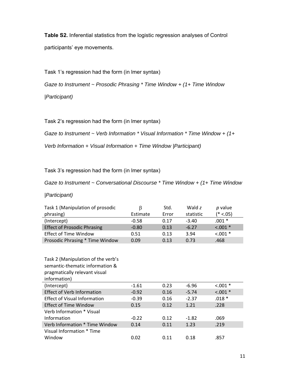**Table S2.** Inferential statistics from the logistic regression analyses of Control participants' eye movements.

Task 1's regression had the form (in lmer syntax)

*Gaze to Instrument ~ Prosodic Phrasing \* Time Window + (1+ Time Window |Participant)* 

Task 2's regression had the form (in lmer syntax)

*Gaze to Instrument ~ Verb Information \* Visual Information \* Time Window + (1+* 

*Verb Information + Visual Information + Time Window |Participant)* 

Task 3's regression had the form (in lmer syntax)

*Gaze to Instrument ~ Conversational Discourse \* Time Window + (1+ Time Window* 

### *|Participant)*

| Task 1 (Manipulation of prosodic   | B        | Std.  | Wald z    | $p$ value   |
|------------------------------------|----------|-------|-----------|-------------|
| phrasing)                          | Estimate | Error | statistic | $(* < .05)$ |
| (Intercept)                        | $-0.58$  | 0.17  | $-3.40$   | $.001 *$    |
| <b>Effect of Prosodic Phrasing</b> | $-0.80$  | 0.13  | $-6.27$   | $< .001$ *  |
| <b>Effect of Time Window</b>       | 0.51     | 0.13  | 3.94      | $< 0.001$ * |
| Prosodic Phrasing * Time Window    | 0.09     | 0.13  | 0.73      | .468        |

| Task 2 (Manipulation of the verb's<br>semantic-thematic information &<br>pragmatically relevant visual<br>information) |         |      |         |             |
|------------------------------------------------------------------------------------------------------------------------|---------|------|---------|-------------|
| (Intercept)                                                                                                            | $-1.61$ | 0.23 | $-6.96$ | $< .001$ *  |
| <b>Effect of Verb Information</b>                                                                                      | $-0.92$ | 0.16 | $-5.74$ | $< 0.001$ * |
| <b>Effect of Visual Information</b>                                                                                    | $-0.39$ | 0.16 | $-2.37$ | $.018*$     |
| Effect of Time Window                                                                                                  | 0.15    | 0.12 | 1.21    | .228        |
| Verb Information * Visual                                                                                              |         |      |         |             |
| Information                                                                                                            | $-0.22$ | 0.12 | $-1.82$ | .069        |
| Verb Information * Time Window                                                                                         | 0.14    | 0.11 | 1.23    | .219        |
| Visual Information * Time                                                                                              |         |      |         |             |
| Window                                                                                                                 | 0.02    | 0.11 | 0.18    | .857        |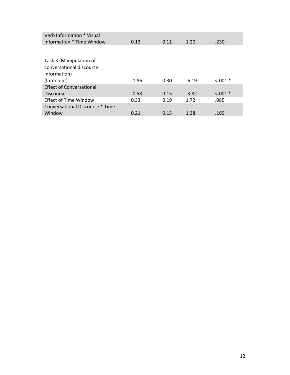| Verb Information * Visual       |         |      |         |             |
|---------------------------------|---------|------|---------|-------------|
| Information * Time Window       | 0.13    | 0.11 | 1.20    | .230        |
|                                 |         |      |         |             |
| Task 3 (Manipulation of         |         |      |         |             |
| conversational discourse        |         |      |         |             |
| information)                    |         |      |         |             |
| (Intercept)                     | $-1.86$ | 0.30 | $-6.19$ | $< 0.001$ * |
| <b>Effect of Conversational</b> |         |      |         |             |
| <b>Discourse</b>                | $-0.58$ | 0.15 | $-3.82$ | $< 0.001$ * |
| <b>Effect of Time Window</b>    | 0.33    | 0.19 | 1.72    | .085        |
| Conversational Discourse * Time |         |      |         |             |
| Window                          | 0.21    | 0.15 | 1.38    | .169        |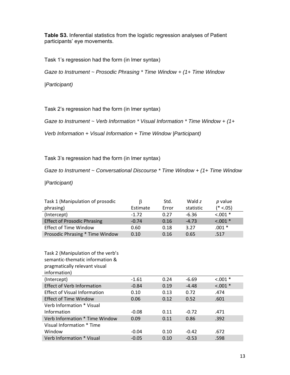**Table S3.** Inferential statistics from the logistic regression analyses of Patient participants' eye movements.

Task 1's regression had the form (in lmer syntax)

*Gaze to Instrument ~ Prosodic Phrasing \* Time Window + (1+ Time Window* 

*|Participant)* 

Task 2's regression had the form (in lmer syntax)

*Gaze to Instrument ~ Verb Information \* Visual Information \* Time Window + (1+* 

*Verb Information + Visual Information + Time Window |Participant)* 

Task 3's regression had the form (in lmer syntax)

*Gaze to Instrument ~ Conversational Discourse \* Time Window + (1+ Time Window* 

*|Participant)* 

| Task 1 (Manipulation of prosodic   | B        | Std.  | Wald z    | $p$ value   |
|------------------------------------|----------|-------|-----------|-------------|
| phrasing)                          | Estimate | Error | statistic | $(* < .05)$ |
| (Intercept)                        | $-1.72$  | 0.27  | $-6.36$   | $< 0.001$ * |
| <b>Effect of Prosodic Phrasing</b> | $-0.74$  | 0.16  | $-4.73$   | $< .001$ *  |
| <b>Effect of Time Window</b>       | 0.60     | 0.18  | 3.27      | $.001*$     |
| Prosodic Phrasing * Time Window    | 0.10     | 0.16  | 0.65      | .517        |

| Task 2 (Manipulation of the verb's<br>semantic-thematic information &<br>pragmatically relevant visual |         |      |         |             |
|--------------------------------------------------------------------------------------------------------|---------|------|---------|-------------|
| information)                                                                                           |         |      |         |             |
| (Intercept)                                                                                            | $-1.61$ | 0.24 | $-6.69$ | $< 0.001$ * |
| <b>Effect of Verb Information</b>                                                                      | $-0.84$ | 0.19 | $-4.48$ | $< 0.001$ * |
| <b>Effect of Visual Information</b>                                                                    | 0.10    | 0.13 | 0.72    | .474        |
| <b>Effect of Time Window</b>                                                                           | 0.06    | 0.12 | 0.52    | .601        |
| Verb Information * Visual                                                                              |         |      |         |             |
| Information                                                                                            | $-0.08$ | 0.11 | $-0.72$ | .471        |
| Verb Information * Time Window                                                                         | 0.09    | 0.11 | 0.86    | .392        |
| Visual Information * Time                                                                              |         |      |         |             |
| Window                                                                                                 | $-0.04$ | 0.10 | $-0.42$ | .672        |
| Verb Information * Visual                                                                              | $-0.05$ | 0.10 | $-0.53$ | .598        |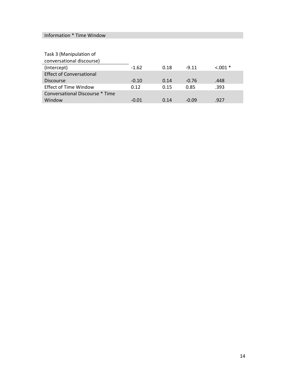## Information \* Time Window

| Task 3 (Manipulation of<br>conversational discourse) |         |      |         |             |
|------------------------------------------------------|---------|------|---------|-------------|
|                                                      |         |      |         |             |
| (Intercept)                                          | $-1.62$ | 0.18 | $-9.11$ | $< 0.001$ * |
| <b>Effect of Conversational</b>                      |         |      |         |             |
| <b>Discourse</b>                                     | $-0.10$ | 0.14 | $-0.76$ | .448        |
| <b>Effect of Time Window</b>                         | 0.12    | 0.15 | 0.85    | .393        |
| Conversational Discourse * Time                      |         |      |         |             |
| Window                                               | $-0.01$ | 0.14 | $-0.09$ | .927        |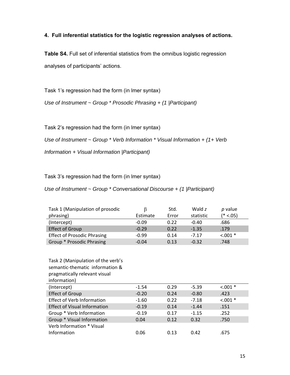### **4. Full inferential statistics for the logistic regression analyses of actions.**

**Table S4.** Full set of inferential statistics from the omnibus logistic regression analyses of participants' actions.

Task 1's regression had the form (in lmer syntax)

*Use of Instrument ~ Group \* Prosodic Phrasing + (1 |Participant)* 

Task 2's regression had the form (in lmer syntax)

*Use of Instrument ~ Group \* Verb Information \* Visual Information + (1+ Verb* 

*Information + Visual Information |Participant)* 

Task 3's regression had the form (in lmer syntax)

*Use of Instrument ~ Group \* Conversational Discourse + (1 |Participant)* 

| Task 1 (Manipulation of prosodic   |          | Std.  | Wald z    | $p$ value   |
|------------------------------------|----------|-------|-----------|-------------|
| phrasing)                          | Estimate | Error | statistic | $(* < .05)$ |
| (Intercept)                        | $-0.09$  | 0.22  | $-0.40$   | .686        |
| <b>Effect of Group</b>             | $-0.29$  | 0.22  | $-1.35$   | .179        |
| <b>Effect of Prosodic Phrasing</b> | $-0.99$  | 0.14  | $-7.17$   | $< .001$ *  |
| Group * Prosodic Phrasing          | $-0.04$  | 0.13  | $-0.32$   | .748        |

| Task 2 (Manipulation of the verb's<br>semantic-thematic information & |         |      |         |             |
|-----------------------------------------------------------------------|---------|------|---------|-------------|
| pragmatically relevant visual                                         |         |      |         |             |
| information)                                                          |         |      |         |             |
| (Intercept)                                                           | $-1.54$ | 0.29 | $-5.39$ | $< 0.001$ * |
| <b>Effect of Group</b>                                                | $-0.20$ | 0.24 | $-0.80$ | .423        |
| <b>Effect of Verb Information</b>                                     | $-1.60$ | 0.22 | $-7.18$ | $< 0.001$ * |
| <b>Effect of Visual Information</b>                                   | $-0.19$ | 0.14 | $-1.44$ | .151        |
| Group * Verb Information                                              | $-0.19$ | 0.17 | $-1.15$ | .252        |
| Group * Visual Information                                            | 0.04    | 0.12 | 0.32    | .750        |
| Verb Information * Visual                                             |         |      |         |             |
| Information                                                           | 0.06    | 0.13 | 0.42    | .675        |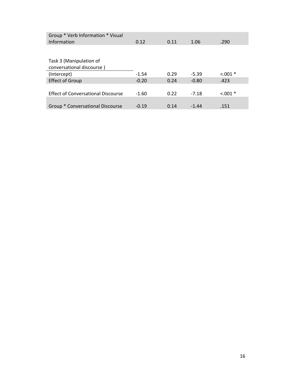| Group * Verb Information * Visual<br>Information | 0.12    | 0.11 | 1.06    | .290        |
|--------------------------------------------------|---------|------|---------|-------------|
|                                                  |         |      |         |             |
| Task 3 (Manipulation of                          |         |      |         |             |
| conversational discourse)                        |         |      |         |             |
| (Intercept)                                      | $-1.54$ | 0.29 | $-5.39$ | $< 0.001$ * |
| <b>Effect of Group</b>                           | $-0.20$ | 0.24 | $-0.80$ | .423        |
|                                                  |         |      |         |             |
| <b>Effect of Conversational Discourse</b>        | $-1.60$ | 0.22 | $-7.18$ | $< 0.001$ * |
|                                                  |         |      |         |             |
| Group * Conversational Discourse                 | $-0.19$ | 0.14 | $-1.44$ | .151        |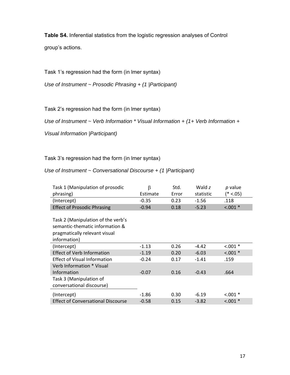**Table S4.** Inferential statistics from the logistic regression analyses of Control group's actions.

Task 1's regression had the form (in lmer syntax)

*Use of Instrument ~ Prosodic Phrasing + (1 |Participant)* 

Task 2's regression had the form (in lmer syntax)

*Use of Instrument ~ Verb Information \* Visual Information + (1+ Verb Information +* 

*Visual Information |Participant)* 

Task 3's regression had the form (in lmer syntax)

*Use of Instrument ~ Conversational Discourse + (1 |Participant)* 

| Task 1 (Manipulation of prosodic          | $\beta$  | Std.  | Wald z    | p value     |
|-------------------------------------------|----------|-------|-----------|-------------|
| phrasing)                                 | Estimate | Error | statistic | (* <.05)    |
| (Intercept)                               | $-0.35$  | 0.23  | $-1.56$   | .118        |
| <b>Effect of Prosodic Phrasing</b>        | $-0.94$  | 0.18  | $-5.23$   | $< .001$ *  |
|                                           |          |       |           |             |
| Task 2 (Manipulation of the verb's        |          |       |           |             |
| semantic-thematic information &           |          |       |           |             |
| pragmatically relevant visual             |          |       |           |             |
| information)                              |          |       |           |             |
| (Intercept)                               | $-1.13$  | 0.26  | $-4.42$   | $< .001 *$  |
| <b>Effect of Verb Information</b>         | $-1.19$  | 0.20  | $-6.03$   | $< .001$ *  |
| <b>Effect of Visual Information</b>       | $-0.24$  | 0.17  | $-1.41$   | .159        |
| Verb Information * Visual                 |          |       |           |             |
| Information                               | $-0.07$  | 0.16  | $-0.43$   | .664        |
| Task 3 (Manipulation of                   |          |       |           |             |
| conversational discourse)                 |          |       |           |             |
| (Intercept)                               | $-1.86$  | 0.30  | $-6.19$   | $< 0.001$ * |
| <b>Effect of Conversational Discourse</b> | $-0.58$  | 0.15  | $-3.82$   | $< 0.001$ * |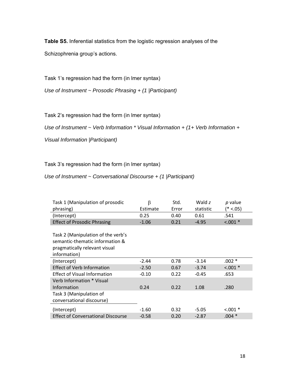**Table S5.** Inferential statistics from the logistic regression analyses of the Schizophrenia group's actions.

Task 1's regression had the form (in lmer syntax)

*Use of Instrument ~ Prosodic Phrasing + (1 |Participant)* 

Task 2's regression had the form (in lmer syntax)

*Use of Instrument ~ Verb Information \* Visual Information + (1+ Verb Information +* 

*Visual Information |Participant)* 

Task 3's regression had the form (in lmer syntax)

*Use of Instrument ~ Conversational Discourse + (1 |Participant)* 

| Task 1 (Manipulation of prosodic          | β        | Std.  | Wald z    | p value     |
|-------------------------------------------|----------|-------|-----------|-------------|
| phrasing)                                 | Estimate | Error | statistic | (* <.05)    |
| (Intercept)                               | 0.25     | 0.40  | 0.61      | .541        |
| <b>Effect of Prosodic Phrasing</b>        | $-1.06$  | 0.21  | $-4.95$   | $< .001$ *  |
|                                           |          |       |           |             |
| Task 2 (Manipulation of the verb's        |          |       |           |             |
| semantic-thematic information &           |          |       |           |             |
| pragmatically relevant visual             |          |       |           |             |
| information)                              |          |       |           |             |
| (Intercept)                               | $-2.44$  | 0.78  | $-3.14$   | $.002*$     |
| <b>Effect of Verb Information</b>         | $-2.50$  | 0.67  | $-3.74$   | $< .001$ *  |
| <b>Effect of Visual Information</b>       | $-0.10$  | 0.22  | $-0.45$   | .653        |
| Verb Information * Visual                 |          |       |           |             |
| Information                               | 0.24     | 0.22  | 1.08      | .280        |
| Task 3 (Manipulation of                   |          |       |           |             |
| conversational discourse)                 |          |       |           |             |
| (Intercept)                               | $-1.60$  | 0.32  | $-5.05$   | $< 0.001$ * |
| <b>Effect of Conversational Discourse</b> | $-0.58$  | 0.20  | $-2.87$   | $.004*$     |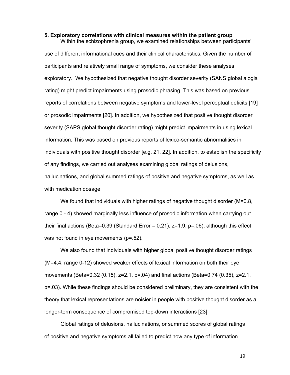#### **5. Exploratory correlations with clinical measures within the patient group**

Within the schizophrenia group, we examined relationships between participants' use of different informational cues and their clinical characteristics. Given the number of participants and relatively small range of symptoms, we consider these analyses exploratory. We hypothesized that negative thought disorder severity (SANS global alogia rating) might predict impairments using prosodic phrasing. This was based on previous reports of correlations between negative symptoms and lower-level perceptual deficits [19] or prosodic impairments [20]. In addition, we hypothesized that positive thought disorder severity (SAPS global thought disorder rating) might predict impairments in using lexical information. This was based on previous reports of lexico-semantic abnormalities in individuals with positive thought disorder [e.g. 21, 22]. In addition, to establish the specificity of any findings, we carried out analyses examining global ratings of delusions, hallucinations, and global summed ratings of positive and negative symptoms, as well as with medication dosage.

We found that individuals with higher ratings of negative thought disorder (M=0.8, range 0 - 4) showed marginally less influence of prosodic information when carrying out their final actions (Beta=0.39 (Standard Error = 0.21),  $z=1.9$ ,  $p=.06$ ), although this effect was not found in eye movements (p=.52).

 We also found that individuals with higher global positive thought disorder ratings (M=4.4, range 0-12) showed weaker effects of lexical information on both their eye movements (Beta=0.32 (0.15), z=2.1, p=.04) and final actions (Beta=0.74 (0.35), z=2.1, p=.03). While these findings should be considered preliminary, they are consistent with the theory that lexical representations are noisier in people with positive thought disorder as a longer-term consequence of compromised top-down interactions [23].

 Global ratings of delusions, hallucinations, or summed scores of global ratings of positive and negative symptoms all failed to predict how any type of information

19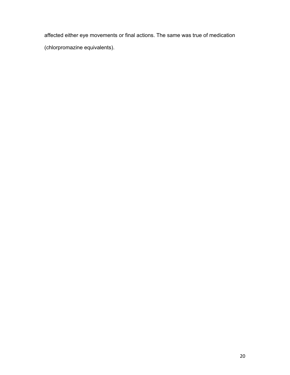affected either eye movements or final actions. The same was true of medication (chlorpromazine equivalents).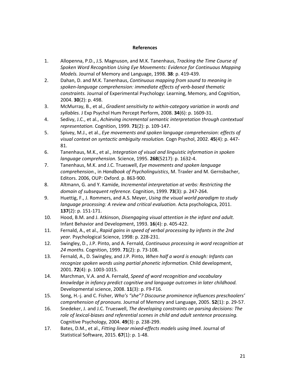#### **References**

- 1. Allopenna, P.D., J.S. Magnuson, and M.K. Tanenhaus, *Tracking the Time Course of Spoken Word Recognition Using Eye Movements: Evidence for Continuous Mapping Models.* Journal of Memory and Language, 1998. **38**: p. 419‐439.
- 2. Dahan, D. and M.K. Tanenhaus, *Continuous mapping from sound to meaning in spoken‐language comprehension: immediate effects of verb‐based thematic constraints.* Journal of Experimental Psychology: Learning, Memory, and Cognition, 2004. **30**(2): p. 498.
- 3. McMurray, B., et al., *Gradient sensitivity to within‐category variation in words and syllables.* J Exp Psychol Hum Percept Perform, 2008. **34**(6): p. 1609‐31.
- 4. Sedivy, J.C., et al., *Achieving incremental semantic interpretation through contextual representation.* Cognition, 1999. **71**(2): p. 109‐147.
- 5. Spivey, M.J., et al., *Eye movements and spoken language comprehension: effects of visual context on syntactic ambiguity resolution.* Cogn Psychol, 2002. **45**(4): p. 447‐ 81.
- 6. Tanenhaus, M.K., et al., *Integration of visual and linguistic information in spoken language comprehension.* Science, 1995. **268**(5217): p. 1632‐4.
- 7. Tanenhaus, M.K. and J.C. Trueswell, *Eye movements and spoken language comprehension.*, in *Handbook of Psycholinguistics*, M. Traxler and M. Gernsbacher, Editors. 2006, OUP: Oxford. p. 863‐900.
- 8. Altmann, G. and Y. Kamide, *Incremental interpretation at verbs: Restricting the domain of subsequent reference.* Cognition, 1999. **73**(3): p. 247‐264.
- 9. Huettig, F., J. Rommers, and A.S. Meyer, *Using the visual world paradigm to study language processing: A review and critical evaluation.* Acta psychologica, 2011. **137**(2): p. 151‐171.
- 10. Hood, B.M. and J. Atkinson, *Disengaging visual attention in the infant and adult.* Infant Behavior and Development, 1993. **16**(4): p. 405‐422.
- 11. Fernald, A., et al., *Rapid gains in speed of verbal processing by infants in the 2nd year.* Psychological Science, 1998: p. 228‐231.
- 12. Swingley, D., J.P. Pinto, and A. Fernald, *Continuous processing in word recognition at 24 months.* Cognition, 1999. **71**(2): p. 73‐108.
- 13. Fernald, A., D. Swingley, and J.P. Pinto, *When half a word is enough: Infants can recognize spoken words using partial phonetic information.* Child development, 2001. **72**(4): p. 1003‐1015.
- 14. Marchman, V.A. and A. Fernald, *Speed of word recognition and vocabulary knowledge in infancy predict cognitive and language outcomes in later childhood.* Developmental science, 2008. **11**(3): p. F9‐F16.
- 15. Song, H.‐j. and C. Fisher, *Who's "she"? Discourse prominence influences preschoolers' comprehension of pronouns.* Journal of Memory and Language, 2005. **52**(1): p. 29‐57.
- 16. Snedeker, J. and J.C. Trueswell, *The developing constraints on parsing decisions: The role of lexical‐biases and referential scenes in child and adult sentence processing.* Cognitive Psychology, 2004. **49**(3): p. 238‐299.
- 17. Bates, D.M., et al., *Fitting linear mixed‐effects models using lme4.* Journal of Statistical Software, 2015. **67**(1): p. 1‐48.